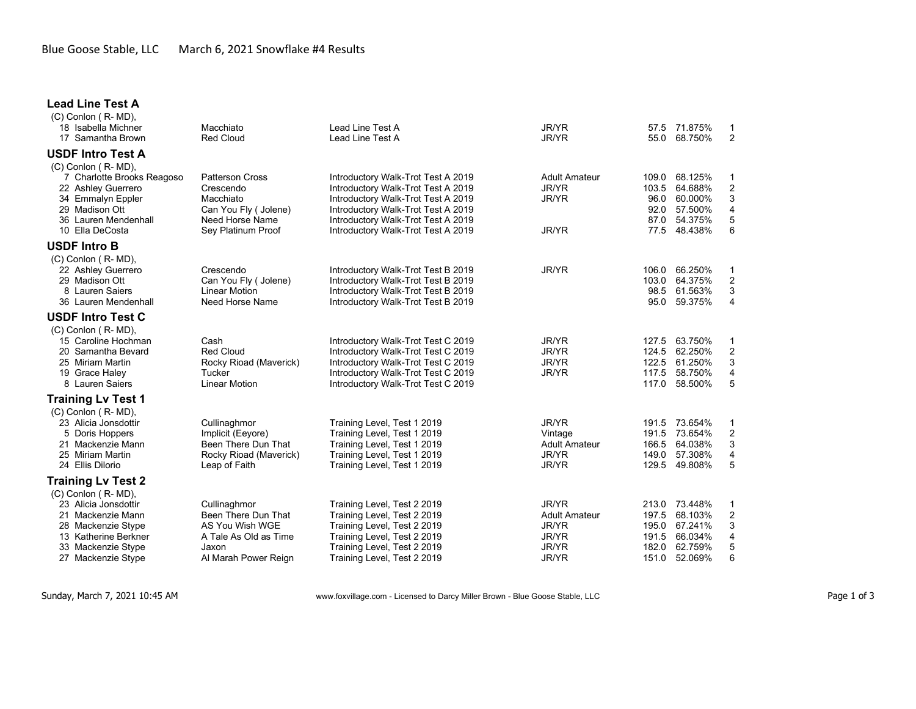## **Lead Line Test A**  $(C)$  Conlon  $(B, MD)$

| $(O)$ CONION ( $R$ - MD),              |                                       |                                                                          |                      |              |                    |                         |
|----------------------------------------|---------------------------------------|--------------------------------------------------------------------------|----------------------|--------------|--------------------|-------------------------|
| 18 Isabella Michner                    | Macchiato<br><b>Red Cloud</b>         | Lead Line Test A                                                         | JR/YR                | 57.5         | 71.875%            | -1<br>2                 |
| 17 Samantha Brown                      |                                       | Lead Line Test A                                                         | <b>JR/YR</b>         |              | 55.0 68.750%       |                         |
| <b>USDF Intro Test A</b>               |                                       |                                                                          |                      |              |                    |                         |
| $(C)$ Conlon $(R-MD)$ ,                |                                       |                                                                          |                      |              |                    |                         |
| 7 Charlotte Brooks Reagoso             | <b>Patterson Cross</b>                | Introductory Walk-Trot Test A 2019                                       | <b>Adult Amateur</b> | 109.0        | 68.125%            | -1                      |
| 22 Ashley Guerrero                     | Crescendo                             | Introductory Walk-Trot Test A 2019                                       | <b>JR/YR</b>         | 103.5        | 64.688%            | $\boldsymbol{2}$        |
| 34 Emmalyn Eppler                      | Macchiato                             | Introductory Walk-Trot Test A 2019                                       | <b>JR/YR</b>         | 96.0         | 60.000%            | 3                       |
| 29 Madison Ott<br>36 Lauren Mendenhall | Can You Fly (Jolene)                  | Introductory Walk-Trot Test A 2019                                       |                      | 92.0         | 57.500%            | 4                       |
| 10 Ella DeCosta                        | Need Horse Name<br>Sey Platinum Proof | Introductory Walk-Trot Test A 2019<br>Introductory Walk-Trot Test A 2019 | <b>JR/YR</b>         | 87.0<br>77.5 | 54.375%<br>48.438% | 5<br>6                  |
|                                        |                                       |                                                                          |                      |              |                    |                         |
| <b>USDF Intro B</b>                    |                                       |                                                                          |                      |              |                    |                         |
| $(C)$ Conlon $(R-MD)$ ,                |                                       |                                                                          |                      |              |                    |                         |
| 22 Ashley Guerrero                     | Crescendo                             | Introductory Walk-Trot Test B 2019                                       | <b>JR/YR</b>         | 106.0        | 66.250%            | $\mathbf 1$             |
| 29 Madison Ott                         | Can You Fly (Jolene)                  | Introductory Walk-Trot Test B 2019                                       |                      | 103.0        | 64.375%            | $\overline{2}$          |
| 8 Lauren Saiers                        | Linear Motion                         | Introductory Walk-Trot Test B 2019                                       |                      | 98.5         | 61.563%            | 3                       |
| 36 Lauren Mendenhall                   | Need Horse Name                       | Introductory Walk-Trot Test B 2019                                       |                      | 95.0         | 59.375%            | $\overline{4}$          |
| <b>USDF Intro Test C</b>               |                                       |                                                                          |                      |              |                    |                         |
| $(C)$ Conlon $(R-MD)$ ,                |                                       |                                                                          |                      |              |                    |                         |
| 15 Caroline Hochman                    | Cash                                  | Introductory Walk-Trot Test C 2019                                       | <b>JR/YR</b>         | 127.5        | 63.750%            | 1                       |
| 20 Samantha Bevard                     | <b>Red Cloud</b>                      | Introductory Walk-Trot Test C 2019                                       | JR/YR                | 124.5        | 62.250%            | $\boldsymbol{2}$        |
| 25 Miriam Martin                       | Rocky Rioad (Maverick)                | Introductory Walk-Trot Test C 2019                                       | JR/YR                | 122.5        | 61.250%            | 3                       |
| 19 Grace Haley                         | Tucker                                | Introductory Walk-Trot Test C 2019                                       | JR/YR                | 117.5        | 58.750%            | 4                       |
| 8 Lauren Saiers                        | <b>Linear Motion</b>                  | Introductory Walk-Trot Test C 2019                                       |                      | 117.0        | 58.500%            | 5                       |
| <b>Training Lv Test 1</b>              |                                       |                                                                          |                      |              |                    |                         |
| $(C)$ Conlon $(R-MD)$ ,                |                                       |                                                                          |                      |              |                    |                         |
| 23 Alicia Jonsdottir                   | Cullinaghmor                          | Training Level, Test 1 2019                                              | <b>JR/YR</b>         | 191.5        | 73.654%            | -1                      |
| 5 Doris Hoppers                        | Implicit (Eeyore)                     | Training Level, Test 1 2019                                              | Vintage              | 191.5        | 73.654%            | $\overline{c}$          |
| 21 Mackenzie Mann                      | Been There Dun That                   | Training Level, Test 1 2019                                              | <b>Adult Amateur</b> | 166.5        | 64.038%            | 3                       |
| 25 Miriam Martin                       | Rocky Rioad (Maverick)                | Training Level, Test 1 2019                                              | JR/YR                | 149.0        | 57.308%            | 4                       |
| 24 Ellis Dilorio                       | Leap of Faith                         | Training Level, Test 1 2019                                              | JR/YR                | 129.5        | 49.808%            | 5                       |
| <b>Training Lv Test 2</b>              |                                       |                                                                          |                      |              |                    |                         |
| $(C)$ Conlon $(R-MD)$ ,                |                                       |                                                                          |                      |              |                    |                         |
| 23 Alicia Jonsdottir                   | Cullinaghmor                          | Training Level, Test 2 2019                                              | JR/YR                | 213.0        | 73.448%            | -1                      |
| 21 Mackenzie Mann                      | Been There Dun That                   | Training Level, Test 2 2019                                              | <b>Adult Amateur</b> | 197.5        | 68.103%            | $\overline{\mathbf{c}}$ |
| 28 Mackenzie Stype                     | AS You Wish WGE                       | Training Level, Test 2 2019                                              | JR/YR                | 195.0        | 67.241%            | 3                       |
| 13 Katherine Berkner                   | A Tale As Old as Time                 | Training Level, Test 2 2019                                              | <b>JR/YR</b>         | 191.5        | 66.034%            | 4                       |
| 33 Mackenzie Stype                     | Jaxon                                 | Training Level, Test 2 2019                                              | <b>JR/YR</b>         | 182.0        | 62.759%            | 5                       |
| 27 Mackenzie Stype                     | Al Marah Power Reign                  | Training Level, Test 2 2019                                              | <b>JR/YR</b>         |              | 151.0 52.069%      | 6                       |

Sunday, March 7, 2021 10:45 AM **WWW.foxvillage.com - Licensed to Darcy Miller Brown - Blue Goose Stable, LLC** Page 1 of 3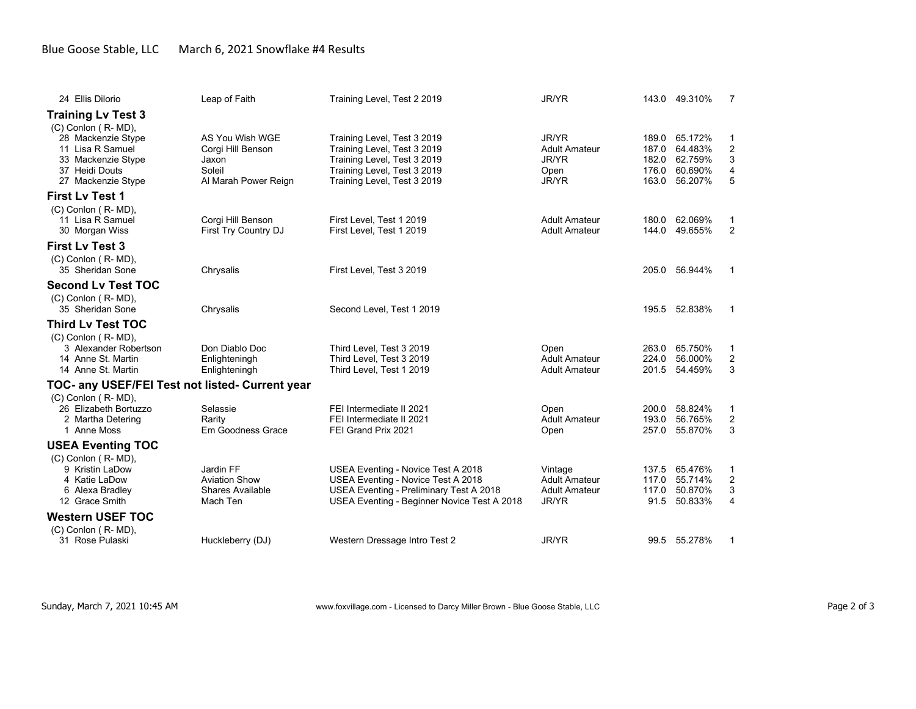## Blue Goose Stable, LLC March 6, 2021 Snowflake #4 Results

| 24 Ellis Dilorio                                     | Leap of Faith                                   | Training Level, Test 2 2019                                                            | JR/YR                                 |                | 143.0 49.310%      | 7                     |
|------------------------------------------------------|-------------------------------------------------|----------------------------------------------------------------------------------------|---------------------------------------|----------------|--------------------|-----------------------|
| <b>Training Lv Test 3</b><br>$(C)$ Conlon $(R-MD)$ , |                                                 |                                                                                        |                                       |                |                    |                       |
| 28 Mackenzie Stype                                   | AS You Wish WGE                                 | Training Level, Test 3 2019                                                            | JR/YR                                 | 189.0          | 65.172%            | 1                     |
| 11 Lisa R Samuel                                     | Corgi Hill Benson                               | Training Level, Test 3 2019                                                            | <b>Adult Amateur</b>                  | 187.0          | 64.483%            | 2                     |
| 33 Mackenzie Stype                                   | Jaxon                                           | Training Level, Test 3 2019                                                            | JR/YR                                 | 182.0          | 62.759%            | 3                     |
| 37 Heidi Douts                                       | Soleil                                          | Training Level, Test 3 2019                                                            | Open                                  | 176.0          | 60.690%            | 4                     |
| 27 Mackenzie Stype                                   | Al Marah Power Reign                            | Training Level, Test 3 2019                                                            | <b>JR/YR</b>                          | 163.0          | 56.207%            | 5                     |
| <b>First Lv Test 1</b>                               |                                                 |                                                                                        |                                       |                |                    |                       |
| (C) Conlon (R-MD),                                   |                                                 |                                                                                        |                                       |                |                    |                       |
| 11 Lisa R Samuel                                     | Corgi Hill Benson                               | First Level, Test 1 2019                                                               | <b>Adult Amateur</b>                  | 180.0          | 62.069%            | 1                     |
| 30 Morgan Wiss                                       | First Try Country DJ                            | First Level, Test 1 2019                                                               | <b>Adult Amateur</b>                  |                | 144.0 49.655%      | $\overline{2}$        |
| <b>First Lv Test 3</b>                               |                                                 |                                                                                        |                                       |                |                    |                       |
| (C) Conlon (R-MD),                                   |                                                 |                                                                                        |                                       |                |                    |                       |
| 35 Sheridan Sone                                     | Chrysalis                                       | First Level, Test 3 2019                                                               |                                       |                | 205.0 56.944%      | 1                     |
| <b>Second Lv Test TOC</b>                            |                                                 |                                                                                        |                                       |                |                    |                       |
| (C) Conlon (R-MD),                                   |                                                 |                                                                                        |                                       |                |                    |                       |
| 35 Sheridan Sone                                     | Chrysalis                                       | Second Level, Test 1 2019                                                              |                                       |                | 195.5 52.838%      | 1                     |
| <b>Third Lv Test TOC</b>                             |                                                 |                                                                                        |                                       |                |                    |                       |
| (C) Conlon (R-MD),                                   |                                                 |                                                                                        |                                       |                |                    |                       |
| 3 Alexander Robertson                                | Don Diablo Doc                                  | Third Level, Test 3 2019                                                               | Open                                  | 263.0          | 65.750%            | 1                     |
| 14 Anne St. Martin                                   | Enlighteningh                                   | Third Level, Test 3 2019                                                               | <b>Adult Amateur</b>                  | 224.0          | 56.000%            | $\overline{c}$        |
| 14 Anne St. Martin                                   | Enlighteningh                                   | Third Level, Test 1 2019                                                               | <b>Adult Amateur</b>                  | 201.5          | 54.459%            | 3                     |
| TOC- any USEF/FEI Test not listed- Current year      |                                                 |                                                                                        |                                       |                |                    |                       |
| (C) Conlon (R-MD),                                   |                                                 |                                                                                        |                                       |                |                    |                       |
| 26 Elizabeth Bortuzzo                                | Selassie                                        | FEI Intermediate II 2021                                                               | Open                                  | 200.0          | 58.824%            | 1                     |
| 2 Martha Detering                                    | Rarity                                          | FEI Intermediate II 2021                                                               | <b>Adult Amateur</b>                  | 193.0          | 56.765%            | $\boldsymbol{2}$      |
| 1 Anne Moss                                          | Em Goodness Grace                               | FEI Grand Prix 2021                                                                    | Open                                  | 257.0          | 55.870%            | 3                     |
| <b>USEA Eventing TOC</b>                             |                                                 |                                                                                        |                                       |                |                    |                       |
| $(C)$ Conlon $(R-MD)$ ,                              |                                                 |                                                                                        |                                       |                |                    |                       |
| 9 Kristin LaDow                                      | Jardin FF                                       | USEA Eventing - Novice Test A 2018                                                     | Vintage                               | 137.5          | 65.476%            | 1                     |
| 4 Katie LaDow                                        | <b>Aviation Show</b><br><b>Shares Available</b> | USEA Eventing - Novice Test A 2018                                                     | Adult Amateur<br><b>Adult Amateur</b> | 117.0<br>117.0 | 55.714%<br>50.870% | $\boldsymbol{2}$<br>3 |
| 6 Alexa Bradley<br>12 Grace Smith                    | Mach Ten                                        | USEA Eventing - Preliminary Test A 2018<br>USEA Eventing - Beginner Novice Test A 2018 | <b>JR/YR</b>                          | 91.5           | 50.833%            | 4                     |
|                                                      |                                                 |                                                                                        |                                       |                |                    |                       |
| <b>Western USEF TOC</b>                              |                                                 |                                                                                        |                                       |                |                    |                       |
| (C) Conlon (R-MD),<br>31 Rose Pulaski                |                                                 |                                                                                        | JR/YR                                 |                | 99.5 55.278%       |                       |
|                                                      | Huckleberry (DJ)                                | Western Dressage Intro Test 2                                                          |                                       |                |                    | 1                     |

Sunday, March 7, 2021 10:45 AM **WWW.foxvillage.com - Licensed to Darcy Miller Brown - Blue Goose Stable, LLC** Page 2 of 3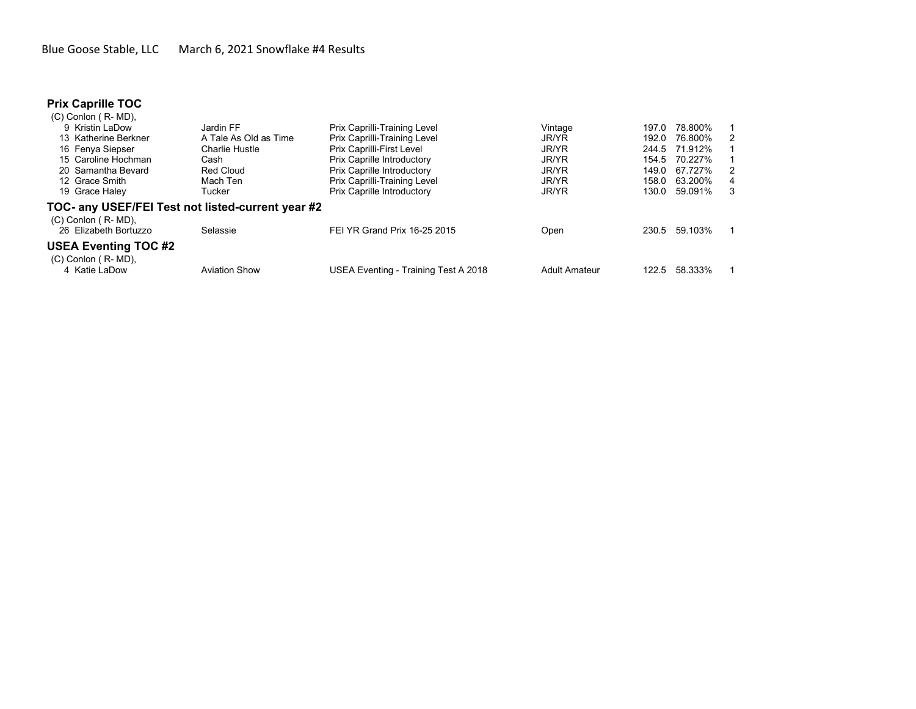## **Prix Caprille TOC**

| $(C)$ Conlon $(R-MD)$ ,                           |                       |                                      |                      |       |               |    |
|---------------------------------------------------|-----------------------|--------------------------------------|----------------------|-------|---------------|----|
| 9 Kristin LaDow                                   | Jardin FF             | Prix Caprilli-Training Level         | Vintage              | 197.0 | 78.800%       |    |
| 13 Katherine Berkner                              | A Tale As Old as Time | Prix Caprilli-Training Level         | <b>JR/YR</b>         | 192.0 | 76.800%       | 2  |
| 16 Fenya Siepser                                  | Charlie Hustle        | <b>Prix Caprilli-First Level</b>     | JR/YR                |       | 244.5 71.912% |    |
| 15 Caroline Hochman                               | Cash                  | <b>Prix Caprille Introductory</b>    | JR/YR                | 154.5 | 70.227%       |    |
| 20 Samantha Bevard                                | Red Cloud             | <b>Prix Caprille Introductory</b>    | JR/YR                | 149.0 | 67.727%       | 2  |
| 12 Grace Smith                                    | Mach Ten              | Prix Caprilli-Training Level         | JR/YR                | 158.0 | 63.200%       | 4  |
| 19 Grace Haley                                    | Tucker                | Prix Caprille Introductory           | JR/YR                | 130.0 | 59.091%       | -3 |
| TOC- any USEF/FEI Test not listed-current year #2 |                       |                                      |                      |       |               |    |
| $(C)$ Conlon $(R-MD)$ ,<br>26 Elizabeth Bortuzzo  | Selassie              | FEI YR Grand Prix 16-25 2015         | Open                 | 230.5 | 59.103%       |    |
| <b>USEA Eventing TOC #2</b>                       |                       |                                      |                      |       |               |    |
| $(C)$ Conlon $(R-MD)$ ,<br>4 Katie LaDow          | <b>Aviation Show</b>  | USEA Eventing - Training Test A 2018 | <b>Adult Amateur</b> | 122.5 | 58.333%       |    |